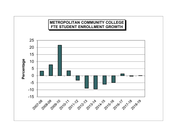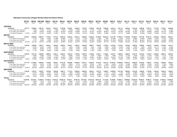## **Nebraska Community Colleges Reimbursable Enrollment History**

| 1997-98                                                           | 1998-99           | 1999-2000          | 2000-01            | 2001-02         | 2002-03         | 2003-04         | 2004-05         | 2005-06         | 2006 07            | 2007-08         | 2008-09         | 2009-10          | 2010-11         | 2011-12            | 2012-13            | 2013-14            | 2014 15            | 2015-16            | 2016-17            | 2017-18            |
|-------------------------------------------------------------------|-------------------|--------------------|--------------------|-----------------|-----------------|-----------------|-----------------|-----------------|--------------------|-----------------|-----------------|------------------|-----------------|--------------------|--------------------|--------------------|--------------------|--------------------|--------------------|--------------------|
| Actual                                                            | Actual            | Actual             | Actual             | Actual          | Actual          | Actual          | Actual          | Actual          | Actual             | Actual          | Actual          | Actual           | Actual          | Actual             | Actual             | Actual             | Actual             | Actual             | Actual             | Actual             |
| <b>CENTRAL</b>                                                    |                   |                    |                    |                 |                 |                 |                 |                 |                    |                 |                 |                  |                 |                    |                    |                    |                    |                    |                    |                    |
| Enrollment<br>3.072.72                                            | 3.299.39          | 3.521.97           | 3.535.17           | 3.601.81        | 3.755.85        | 3.780.27        | 3.859.18        | 3.753.97        | 3.758.39           | 3.821.05        | 3.949.20        | 4.431.12         | 4.611.13        | 4.555.02           | 4.214.44           | 3.926.29           | 3.837.31           | 3.777.39           | 3.710.87           | 3.625.60           |
| % Incr (Decr) over previous yr                                    | 7.38%             | 6.75%              | 0.37%              | 1.89%           | 4.28%           | 0.65%           | 2.09%           | $-2.73%$        | 0.12%              | 1.67%           | 3.35%           | 12.20%           | 4.06%           | $-1.22%$           | $-7.48%$           | $-6.84%$           | $-2.27%$           | $-1.56%$           | $-1.76%$           | $-2.30%$           |
| % Incr (Decr) since 1997-98                                       | 7.38%             | 14.62%             | 15.05%             | 17.22%          | 22.23%          | 23.03%          | 25.59%          | 22.17%          | 22.31%             | 24.35%          | 28.52%          | 44.21%           | 50.07%          | 48.24%             | 37.16%             | 27.78%             | 24.88%             | 22.93%             | 20.77%             | 17.99%             |
| % of Total CC Enrollmen<br>13.81%                                 | 14.42%            | 15.12%             | 14.89%             | 14.40%          | 14.01%          | 13.69%          | 13.55%          | 12.91%          | 12.96%             | 12.93%          | 12.68%          | 12.55%           | 12.71%          | 12.98%             | 12.95%             | 12.96%             | 13.28%             | 13.86%             | 13.72%             | 13.67%             |
| <b>METRO</b>                                                      |                   |                    |                    |                 |                 |                 |                 |                 |                    |                 |                 |                  |                 |                    |                    |                    |                    |                    |                    |                    |
| Enrollment<br>6.615.81                                            | 6.892.00          | 6.990.13           | 7.135.91           | 7,511.24        | 8,281.93        | 8.428.19        | 8,623.14        | 9.290.60        | 9.843.30           | 10,164.63       | 10.951.82       | 13.317.48        | 13.786.10       | 13.343.80          | 12.159.07          | 11.011.84          | 10,341.12          | 9.833.88           | 9,963.00           | 9,923.17           |
| % Incr (Decr) over previous yr                                    | 4.17%             | 1.42%              | 2.09%              | 5.26%           | 10.26%          | 1.77%           | 2.31%           | 7.74%           | 5.95%              | 3.26%           | 7.74%           | 21.60%           | 3.52%           | $-3.21%$           | $-8.88%$           | $-9.44%$           | $-6.09%$           | $-4.91%$           | 1.31%              | $-0.40%$           |
| % Incr (Decr) since 1997-98                                       | 4.17%             | 5.66%              | 7.86%              | 13.53%          | 25.18%          | 27.39%          | 30.34%          | 40.43%          | 48.78%             | 53.64%          | 65.54%          | 101.30%          | 108.38%         | 101.70%            | 83.79%             | 66.45%             | 56.31%             | 48.64%             | 50.59%             | 49.99%             |
| % of Total CC Enrollmen<br>29.73%                                 | 30.12%            | 30.01%             | 30.06%             | 30.03%          | 30.90%          | 30.53%          | 30.27%          | 31.95%          | 33.93%             | 34.39%          | 35.17%          | 37.70%           | 37.99%          | 38.03%             | 37.36%             | 36.35%             | 35.79%             | 36.09%             | 36.82%             | 37.41%             |
| <b>MID-PLAINS</b>                                                 |                   |                    |                    |                 |                 |                 |                 |                 |                    |                 |                 |                  |                 |                    |                    |                    |                    |                    |                    |                    |
| Enrollment<br>1.639.39                                            | 1.626.96          | 1.525.71           | 1.562.21           | 1.644.85        | 1.669.07        | .696.77         | 1.605.51        | .642.05         | 1.658.77           | 1.626.97        | 1.705.03        | 1.814.05         | 1.773.28        | 1.918.98           | 1.869.98           | 1.899.20           | 1.908.75           | 1.544.08           | .479.59            | 1,441.37           |
| % Incr (Decr) over previous yr                                    | $-0.76%$          | $-6.22%$           | 2.39%              | 5.29%           | 1.47%           | 1.66%           | $-5.38%$        | 2.28%           | 1.02%              | $-1.92%$        | 4.80%           | 6.39%            | $-2.25%$        | 8.22%              | $-2.55%$           | 1.56%              | 0.50%              | $-19.11%$          | $-4.18%$           | $-2.58%$           |
| % Incr (Decr) since 1997-98                                       | $-0.76%$          | $-6.93%$           | $-4.71%$           | 0.33%           | 1.81%           | 3.50%           | $-2.07%$        | 0.16%           | 1.18%              | $-0.76%$        | 4.00%           | 10.65%           | 8.17%           | 17.05%             | 14.07%             | 15.85%             | 16.43%             | $-5.81%$           | $-9.75%$           | $-12.08%$          |
| % of Total CC Enrollmen<br>7.37%                                  | 7.11%             | 6.55%              | 6.58%              | 6.58%           | 6.23%           | 6.15%           | 5.64%           | 5.65%           | 5.72%              | 5.50%           | 5.47%           | 5.14%            | 4.89%           | 5.47%              | 5.75%              | 6.27%              | 6.61%              | 5.67%              | 5.47%              | 5.43%              |
| <b>NORTHEAST</b>                                                  |                   |                    |                    |                 |                 |                 |                 |                 |                    |                 |                 |                  |                 |                    |                    |                    |                    |                    |                    |                    |
| Enrollment<br>2.789.45                                            | 2.971.48          | 3.069.09           | 3.098.78           | 3.245.14        | 3.299.41        | 3.003.10        | 3,144.92        | 3.284.76        | 3,318.69           | 3.192.71        | 3.140.00        | 3,374.37         | 3.489.54        | 3.289.34           | 3.343.10           | 3,210.33           | 3,132.93           | 3.038.03           | 2,986.13           | 2,997.04           |
| % Incr (Decr) over previous yr                                    | 6.53%             | 3.28%              | 0.97%              | 4.72%           | 1.67%           | $-8.98%$        | 4.72%           | 4.45%           | 1.03%              | $-3.80%$        | $-1.65%$        | 7.46%            | 3.41%           | $-5.74%$           | 1.63%              | $-3.97%$           | $-2.41%$           | $-3.03%$           | $-1.71%$           | 0.37%              |
| % Incr (Decr) since 1997-98                                       | 6.53%             | 10.02%             | 11.09%             | 16.34%          | 18.28%          | 7.66%           | 12.74%          | 17.76%          | 18.97%             | 14.46%          | 12.57%          | 20.97%           | 25.10%          | 17.92%             | 19.85%             | 15.09%             | 12.31%             | 8.91%              | 7.05%              | 7.44%              |
| % of Total CC Enrollmen<br>12.54%                                 | 12.99%            | 13.18%             | 13.05%             | 12.98%          | 12.31%          | 10.88%          | 11.04%          | 11.30%          | 11.44%             | 10.80%          | 10.08%          | 9.55%            | 9.62%           | 9.37%              | 10.27%             | 10.60%             | 10.84%             | 11.15%             | 11.04%             | 11.30%             |
| <b>SOUTHEAST</b>                                                  |                   |                    |                    |                 |                 |                 |                 |                 |                    |                 |                 |                  |                 |                    |                    |                    |                    |                    |                    |                    |
| Enrollment<br>6.711.18                                            | 6.755.82          | 6.945.93           | 7.133.68           | 7.502.61        | 8.151.35        | 8.925.60        | 9.208.39        | 9.074.71        | 8.629.30           | 8.776.33        | 9.447.12        | 10.335.19        | 10.556.20       | 10.019.72          | 9.049.09           | 8.419.52           | 7.920.21           | 7.415.30           | 7.286.84           | 7,002.41           |
| % Incr (Decr) over previous vr                                    | 0.67%             | 2.81%              | 2.70%              | 5.17%           | 8.65%           | 9.50%           | 3.17%           | $-1.45%$        | $-4.91%$           | 1.70%           | 7.64%           | 9.40%            | 2.14%           | $-5.08%$           | $-9.69%$           | $-6.96%$           | $-5.93%$           | $-6.37%$           | $-1.73%$           | $-3.90%$           |
| % Incr (Decr) since 1997-98                                       | 0.67%             | 3.50%              | 6.30%              | 11.79%          | 21.46%          | 33.00%          | 37.21%          | 35.22%          | 28.58%             | 30.77%          | 40.77%          | 54.00%           | 57.29%          | 49.30%             | 34.84%             | 25.46%             | 18.02%             | 10.49%             | 8.58%              | 4.34%              |
| % of Total CC Enrollmen<br>30.16%                                 | 29.53%            | 29.82%             | 30.05%             | 30.00%          | 30.41%          | 32.33%          | 32.32%          | 31.21%          | 29.75%             | 29.69%          | 30.33%          | 29.26%           | 29.09%          | 28.55%             | 27.80%             | 27.79%             | 27.41%             | 27.22%             | 26.93%             | 26.40%             |
| <b>WESTERN</b>                                                    |                   |                    |                    |                 |                 |                 |                 |                 |                    |                 |                 |                  |                 |                    |                    |                    |                    |                    |                    |                    |
| <b>Enrollment</b><br>1.422.25                                     | 1.332.57          | 1,239.57           | 1.270.68           | 1.504.88        | 1,646.77        | 1.770.18        | 2,050.24        | 2.029.84        | 1.802.01           | 1.975.74        | 1.949.91        | 2,048.68         | 2.071.88        | 1.962.80           | 1.910.28           | 1.828.83           | 1,750.09           | 1.635.85           | 1,630.39           | 1,538.87           |
| % Incr (Decr) over previous yr                                    | $-6.31%$          | $-6.98%$           | 2.51%              | 18.43%          | 9.43%           | 7.49%           | 15.82%          | $-1.00%$        | $-11.22%$          | 9.64%           | $-1.31%$        | 5.07%            | 1.13%           | $-5.26%$           | $-2.68%$           | $-4.26%$           | $-4.31%$           | $-6.53%$           | $-0.33%$           | $-5.61%$           |
| % Incr (Decr) since 1997-98<br>6.39%                              | $-6.31%$<br>5.82% | $-12.84%$<br>5.32% | $-10.66%$<br>5.35% | 5.81%<br>6.02%  | 15.79%<br>6.14% | 24.46%<br>6.41% | 44.15%<br>7.20% | 42.72%<br>6.98% | 26.70%<br>6.21%    | 38.92%<br>6.68% | 37.10%<br>6.26% | 44.04%<br>5.80%  | 45.68%<br>5.71% | 38.01%<br>5.59%    | 34.31%<br>5.87%    | 28.59%<br>6.04%    | 23.05%<br>6.06%    | 15.02%<br>6.00%    | 14.63%<br>6.03%    | 8.20%<br>5.80%     |
| % of Total CC Enrollmen                                           |                   |                    |                    |                 |                 |                 |                 |                 |                    |                 |                 |                  |                 |                    |                    |                    |                    |                    |                    |                    |
| <b>TOTAL</b>                                                      |                   |                    |                    |                 |                 |                 |                 |                 |                    |                 |                 |                  |                 |                    |                    |                    |                    |                    |                    |                    |
| 22.250.80<br>Enrollment                                           | 22,878.22         | 23.292.40          | 23.736.43          | 25.010.53       | 26.804.38       | 27.604.11       | 28,491.38       | 29,075.93       | 29.010.46          | 29,557.43       | 31.143.08       | 35,320.89        | 36.288.13       | 35.089.66          | 32.545.96          | 30,296.01          | 28.890.41          | 27.244.53          | 27,056.82          | 26,528.46          |
| % Incr (Decr) over previous vr                                    | 2.82%<br>2.82%    | 1.81%<br>4.68%     | 1.91%<br>6.68%     | 5.37%<br>12.40% | 7.17%<br>20.46% | 2.98%<br>24.06% | 3.21%<br>28.05% | 2.05%<br>30.67% | $-0.23%$<br>30.38% | 1.89%<br>32.84% | 5.36%<br>39.96% | 13.41%<br>58.74% | 2.74%<br>63.09% | $-3.30%$<br>57.70% | $-7.25%$<br>46.27% | $-6.91%$<br>36.16% | $-4.64%$<br>29.84% | $-5.70%$<br>22.44% | $-0.69%$<br>21.60% | $-1.95%$<br>19.22% |
| % Incr (Decr) since 1997-98<br>% of Total CC Enrollmen<br>100.00% | 100.00%           | 100.00%            | 100.00%            | 100.00%         | 100.00%         | 100.00%         | 100.00%         | 100.00%         | 100.00%            | 100.00%         | 100.00%         | 100.00%          | 100.00%         | 100.00%            | 100.00%            | 100.00%            | 100.00%            | 100.00%            | 100.00%            | 100.00%            |
|                                                                   |                   |                    |                    |                 |                 |                 |                 |                 |                    |                 |                 |                  |                 |                    |                    |                    |                    |                    |                    |                    |